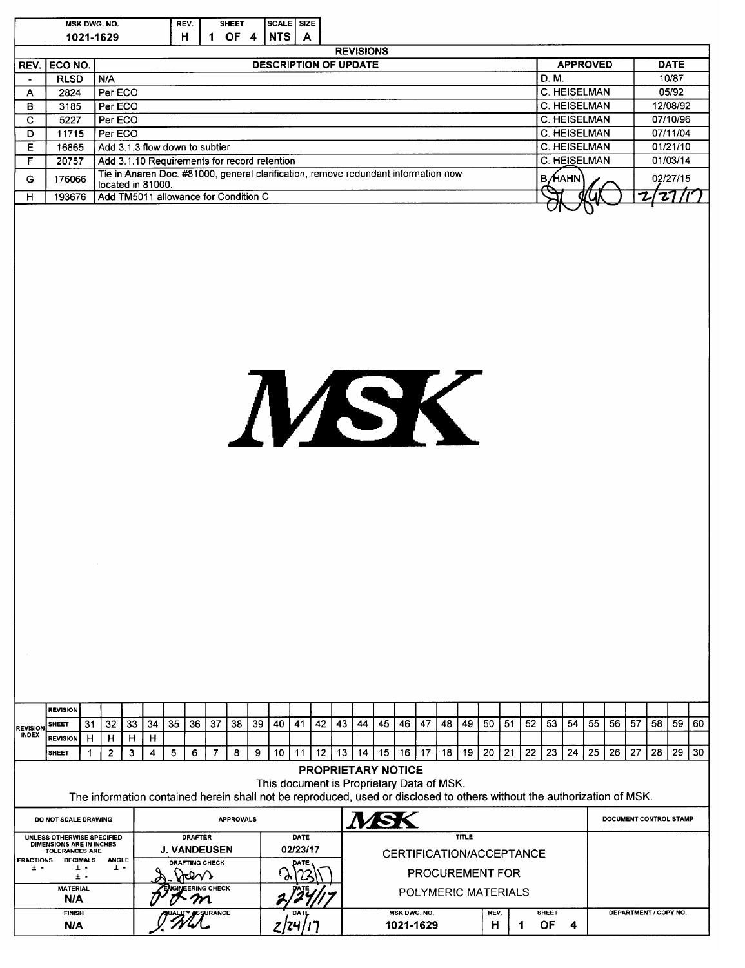| DWG. NO.<br>MSK     | D.<br>- 1<br>REV. | <b>JEET</b> |   | 17C<br>-- |
|---------------------|-------------------|-------------|---|-----------|
| חר<br>-<br>-------- | п<br>п            | ъ<br>л      | w |           |

| <b>REVISIONS</b>         |                  |                                                                                                         |                     |             |  |  |  |  |  |  |  |
|--------------------------|------------------|---------------------------------------------------------------------------------------------------------|---------------------|-------------|--|--|--|--|--|--|--|
|                          | I REV. I ECO NO. | <b>DESCRIPTION OF UPDATE</b>                                                                            | <b>APPROVED</b>     | <b>DATE</b> |  |  |  |  |  |  |  |
| $\overline{\phantom{0}}$ | <b>RLSD</b>      | N/A                                                                                                     | ID.M.               | 10/87       |  |  |  |  |  |  |  |
| A                        | 2824             | Per ECO                                                                                                 | I C. HEISELMAN      | 05/92       |  |  |  |  |  |  |  |
| в                        | 3185             | Per ECO                                                                                                 | <b>C. HEISELMAN</b> | 12/08/92    |  |  |  |  |  |  |  |
| С                        | 5227             | Per ECO                                                                                                 | I C. HEISELMAN      | 07/10/96    |  |  |  |  |  |  |  |
| D                        | 11715            | Per ECO                                                                                                 | I C. HEISELMAN      | 07/11/04    |  |  |  |  |  |  |  |
| E                        | 16865            | Add 3.1.3 flow down to subtier                                                                          | I C. HEISELMAN      | 01/21/10    |  |  |  |  |  |  |  |
| E                        | 20757            | Add 3.1.10 Requirements for record retention                                                            | <b>C. HEISELMAN</b> | 01/03/14    |  |  |  |  |  |  |  |
| G                        | 176066           | Tie in Anaren Doc. #81000, general clarification, remove redundant information now<br>located in 81000. | <b>B</b> AHN        | 02/27/15    |  |  |  |  |  |  |  |
| H                        | 193676           | Add TM5011 allowance for Condition C                                                                    | <u>acu</u>          | 12711'      |  |  |  |  |  |  |  |
|                          |                  |                                                                                                         |                     |             |  |  |  |  |  |  |  |



|                                                                                                                                                                                                   | <b>REVISION</b>                                                                        |                  |                       |    |    |                               |                                       |    |                  |    |                                                    |                  |                 |                                                                   |    |    |      |                     |    |       |                 |                       |    |    |                 |                        |    |    |    |    |    |
|---------------------------------------------------------------------------------------------------------------------------------------------------------------------------------------------------|----------------------------------------------------------------------------------------|------------------|-----------------------|----|----|-------------------------------|---------------------------------------|----|------------------|----|----------------------------------------------------|------------------|-----------------|-------------------------------------------------------------------|----|----|------|---------------------|----|-------|-----------------|-----------------------|----|----|-----------------|------------------------|----|----|----|----|----|
| <b>REVISION</b>                                                                                                                                                                                   | <b>ISHEET</b>                                                                          | 31               | 32                    | 33 | 34 | 35                            | 36                                    | 37 | 38               | 39 | 40                                                 | 41               | 42              | 43                                                                | 44 | 45 | 46   | 47                  | 48 | 49    | 50 <sub>1</sub> | 51                    | 52 | 53 | 54              | 55                     | 56 | 57 | 58 | 59 | 60 |
| <b>INDEX</b>                                                                                                                                                                                      | <b>REVISION</b>                                                                        | н                | н                     | н  | н  |                               |                                       |    |                  |    |                                                    |                  |                 |                                                                   |    |    |      |                     |    |       |                 |                       |    |    |                 |                        |    |    |    |    |    |
|                                                                                                                                                                                                   | SHEET                                                                                  |                  | $\overline{2}$        | 3  | 4  | 5                             | 6                                     |    | 8                | 9  | 10                                                 | 11               | 12 <sup>2</sup> | 13                                                                | 14 | 15 | 16 I | 17                  | 18 | 19    | 20 <sub>1</sub> | 21                    | 22 | 23 | 24 <sub>1</sub> | 25                     | 26 | 27 | 28 | 29 | 30 |
| <b>PROPRIETARY NOTICE</b><br>This document is Proprietary Data of MSK.<br>The information contained herein shall not be reproduced, used or disclosed to others without the authorization of MSK. |                                                                                        |                  |                       |    |    |                               |                                       |    |                  |    |                                                    |                  |                 |                                                                   |    |    |      |                     |    |       |                 |                       |    |    |                 |                        |    |    |    |    |    |
|                                                                                                                                                                                                   | DO NOT SCALE DRAWING                                                                   |                  |                       |    |    |                               |                                       |    | <b>APPROVALS</b> |    |                                                    |                  |                 |                                                                   |    |    |      |                     |    |       |                 |                       |    |    |                 | DOCUMENT CONTROL STAMP |    |    |    |    |    |
|                                                                                                                                                                                                   | UNLESS OTHERWISE SPECIFIED<br><b>DIMENSIONS ARE IN INCHES</b><br><b>TOLERANCES ARE</b> |                  |                       |    |    |                               | <b>DRAFTER</b><br><b>J. VANDEUSEN</b> |    |                  |    |                                                    | DATE<br>02/23/17 |                 |                                                                   |    |    |      |                     |    | TITLE |                 |                       |    |    |                 |                        |    |    |    |    |    |
| <b>FRACTIONS</b><br>$\ddot{}$                                                                                                                                                                     | <b>DECIMALS</b>                                                                        | $+ -$<br>$\pm$ - | <b>ANGLE</b><br>$+ -$ |    |    | <b>DRAFTING CHECK</b><br>DATE |                                       |    |                  |    | CERTIFICATION/ACCEPTANCE<br><b>PROCUREMENT FOR</b> |                  |                 |                                                                   |    |    |      |                     |    |       |                 |                       |    |    |                 |                        |    |    |    |    |    |
|                                                                                                                                                                                                   | <b>MATERIAL</b><br>N/A                                                                 |                  |                       |    |    |                               | ÉNGINEERING CHECK                     |    |                  |    |                                                    |                  |                 |                                                                   |    |    |      | POLYMERIC MATERIALS |    |       |                 |                       |    |    |                 |                        |    |    |    |    |    |
|                                                                                                                                                                                                   | <b>FINISH</b><br><b>N/A</b>                                                            |                  |                       |    |    |                               | QUALLIY ASSURANCE                     |    |                  |    |                                                    | DATE             |                 | MSK DWG, NO.<br>REV.<br><b>SHEET</b><br>н<br>1021-1629<br>ΟF<br>4 |    |    |      |                     |    |       |                 | DEPARTMENT / COPY NO. |    |    |                 |                        |    |    |    |    |    |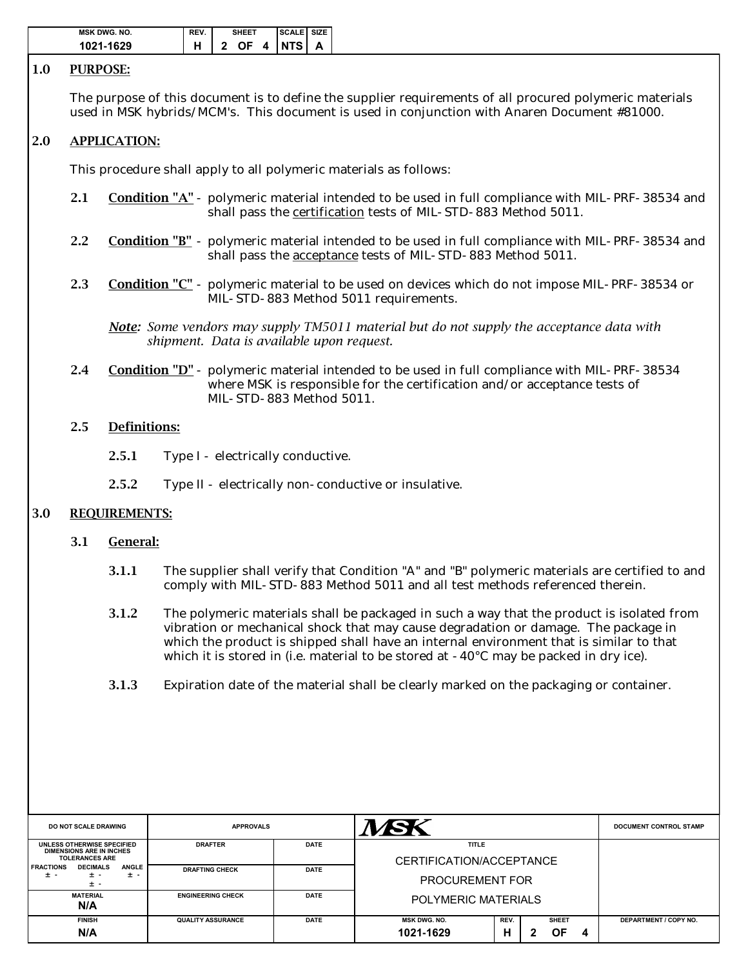| <b>MSK DWG, NO.</b> | REV. | SHEET |  |  | <b>SCALE SIZE</b> |  |
|---------------------|------|-------|--|--|-------------------|--|
| 1021-1629           |      |       |  |  | OF 4 INTS A       |  |

### 1.0 PURPOSE:

The purpose of this document is to define the supplier requirements of all procured polymeric materials used in MSK hybrids/MCM's. This document is used in conjunction with Anaren Document #81000.

# 2.0 APPLICATION:

This procedure shall apply to all polymeric materials as follows:

- 2.1 Condition "A" polymeric material intended to be used in full compliance with MIL-PRF-38534 and shall pass the certification tests of MIL-STD-883 Method 5011.
- 2.2 Condition "B" polymeric material intended to be used in full compliance with MIL-PRF-38534 and shall pass the acceptance tests of MIL-STD-883 Method 5011.
- 2.3 Condition "C" polymeric material to be used on devices which do not impose MIL-PRF-38534 or MIL-STD-883 Method 5011 requirements.

#### *Note: Some vendors may supply TM5011 material but do not supply the acceptance data with shipment. Data is available upon request.*

2.4 Condition "D" - polymeric material intended to be used in full compliance with MIL-PRF-38534 where MSK is responsible for the certification and/or acceptance tests of MIL-STD-883 Method 5011.

### 2.5 Definitions:

- 2.5.1 Type I electrically conductive.
- 2.5.2 Type II electrically non-conductive or insulative.

### 3.0 REQUIREMENTS:

### 3.1 General:

- **3.1.1** The supplier shall verify that Condition "A" and "B" polymeric materials are certified to and comply with MIL-STD-883 Method 5011 and all test methods referenced therein.
- **3.1.2** The polymeric materials shall be packaged in such a way that the product is isolated from vibration or mechanical shock that may cause degradation or damage. The package in which the product is shipped shall have an internal environment that is similar to that which it is stored in (i.e. material to be stored at -40°C may be packed in dry ice).
- **3.1.3** Expiration date of the material shall be clearly marked on the packaging or container.

| <b>DO NOT SCALE DRAWING</b>                                                            | <b>APPROVALS</b>         |             |                                          | <b>DOCUMENT CONTROL STAMP</b> |  |              |   |                       |
|----------------------------------------------------------------------------------------|--------------------------|-------------|------------------------------------------|-------------------------------|--|--------------|---|-----------------------|
| UNLESS OTHERWISE SPECIFIED<br><b>DIMENSIONS ARE IN INCHES</b><br><b>TOLERANCES ARE</b> | <b>DRAFTER</b>           | <b>DATE</b> | <b>TITLE</b><br>CERTIFICATION/ACCEPTANCE |                               |  |              |   |                       |
| <b>DECIMALS</b><br><b>ANGLE</b><br><b>FRACTIONS</b><br>± -<br>± -<br>± -<br>$\pm$ -    | <b>DRAFTING CHECK</b>    | <b>DATE</b> | <b>PROCUREMENT FOR</b>                   |                               |  |              |   |                       |
| <b>MATERIAL</b><br>N/A                                                                 | <b>ENGINEERING CHECK</b> | <b>DATE</b> | POLYMERIC MATERIALS                      |                               |  |              |   |                       |
| <b>FINISH</b>                                                                          | <b>QUALITY ASSURANCE</b> | <b>DATE</b> | <b>MSK DWG, NO.</b>                      | REV.                          |  | <b>SHEET</b> |   | DEPARTMENT / COPY NO. |
| N/A                                                                                    |                          |             | 1021-1629                                |                               |  | ΟF           | 4 |                       |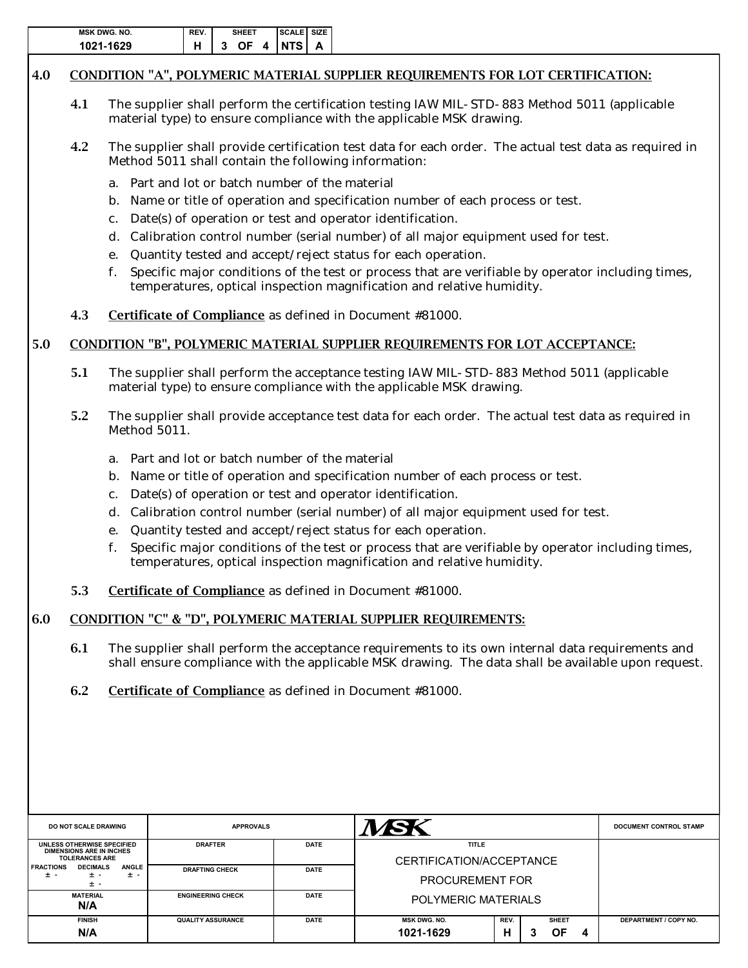| <b>MSK DWG, NO.</b> | REV. | SHEET    | <b>SCALE SIZE</b> |
|---------------------|------|----------|-------------------|
| 1021-1629           |      | ΩF<br>-3 | 4 INTS A          |

# 4.0 CONDITION "A", POLYMERIC MATERIAL SUPPLIER REQUIREMENTS FOR LOT CERTIFICATION:

- 4.1 The supplier shall perform the certification testing IAW MIL-STD-883 Method 5011 (applicable material type) to ensure compliance with the applicable MSK drawing.
- 4.2 The supplier shall provide certification test data for each order. The actual test data as required in Method 5011 shall contain the following information:
	- a. Part and lot or batch number of the material
	- b. Name or title of operation and specification number of each process or test.
	- c. Date(s) of operation or test and operator identification.
	- d. Calibration control number (serial number) of all major equipment used for test.
	- e. Quantity tested and accept/reject status for each operation.
	- f. Specific major conditions of the test or process that are verifiable by operator including times, temperatures, optical inspection magnification and relative humidity.
- 4.3 Certificate of Compliance as defined in Document #81000.

### 5.0 CONDITION "B", POLYMERIC MATERIAL SUPPLIER REQUIREMENTS FOR LOT ACCEPTANCE:

- 5.1 The supplier shall perform the acceptance testing IAW MIL-STD-883 Method 5011 (applicable material type) to ensure compliance with the applicable MSK drawing.
- 5.2 The supplier shall provide acceptance test data for each order. The actual test data as required in Method 5011.
	- a. Part and lot or batch number of the material
	- b. Name or title of operation and specification number of each process or test.
	- c. Date(s) of operation or test and operator identification.
	- d. Calibration control number (serial number) of all major equipment used for test.
	- e. Quantity tested and accept/reject status for each operation.
	- f. Specific major conditions of the test or process that are verifiable by operator including times, temperatures, optical inspection magnification and relative humidity.
- 5.3 Certificate of Compliance as defined in Document #81000.

## 6.0 CONDITION "C" & "D", POLYMERIC MATERIAL SUPPLIER REQUIREMENTS:

- 6.1 The supplier shall perform the acceptance requirements to its own internal data requirements and shall ensure compliance with the applicable MSK drawing. The data shall be available upon request.
- 6.2 Certificate of Compliance as defined in Document #81000.

| <b>DO NOT SCALE DRAWING</b>                              | <b>APPROVALS</b>                                                 |             | <b>DOCUMENT CONTROL STAMP</b> |      |  |              |   |                       |
|----------------------------------------------------------|------------------------------------------------------------------|-------------|-------------------------------|------|--|--------------|---|-----------------------|
| UNLESS OTHERWISE SPECIFIED                               | <b>TITLE</b>                                                     |             |                               |      |  |              |   |                       |
| <b>DIMENSIONS ARE IN INCHES</b><br><b>TOLERANCES ARE</b> |                                                                  |             | CERTIFICATION/ACCEPTANCE      |      |  |              |   |                       |
| <b>FRACTIONS</b><br>± -<br>± -<br>± -                    | <b>DECIMALS</b><br><b>ANGLE</b><br>DATE<br><b>DRAFTING CHECK</b> |             |                               |      |  |              |   |                       |
| ± -                                                      |                                                                  |             | <b>PROCUREMENT FOR</b>        |      |  |              |   |                       |
| <b>MATERIAL</b>                                          | <b>ENGINEERING CHECK</b>                                         | <b>DATE</b> | POLYMERIC MATERIALS           |      |  |              |   |                       |
| N/A                                                      |                                                                  |             |                               |      |  |              |   |                       |
| <b>FINISH</b>                                            | <b>QUALITY ASSURANCE</b>                                         | DATE        | <b>MSK DWG, NO.</b>           | REV. |  | <b>SHEET</b> |   | DEPARTMENT / COPY NO. |
| N/A                                                      |                                                                  |             | 1021-1629                     | н    |  | ΟF           | 4 |                       |